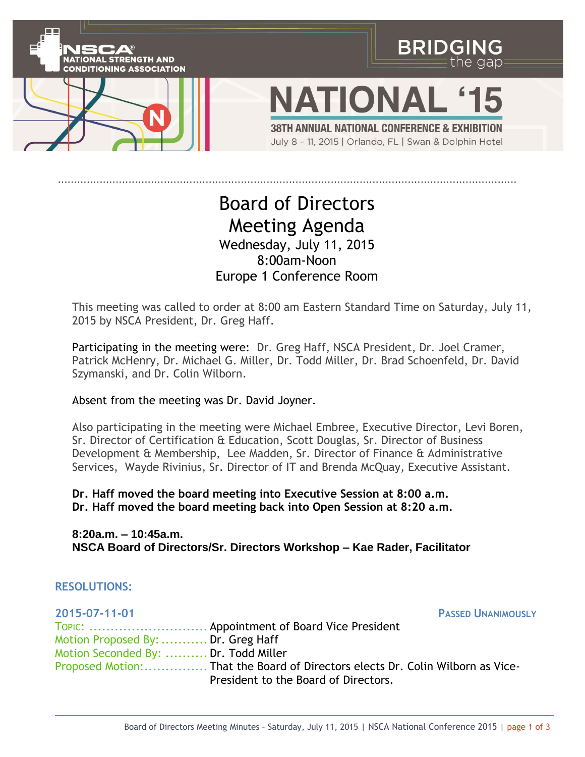

## Board of Directors Meeting Agenda Wednesday, July 11, 2015 8:00am-Noon Europe 1 Conference Room

This meeting was called to order at 8:00 am Eastern Standard Time on Saturday, July 11, 2015 by NSCA President, Dr. Greg Haff.

Participating in the meeting were: Dr. Greg Haff, NSCA President, Dr. Joel Cramer, Patrick McHenry, Dr. Michael G. Miller, Dr. Todd Miller, Dr. Brad Schoenfeld, Dr. David Szymanski, and Dr. Colin Wilborn.

## Absent from the meeting was Dr. David Joyner.

Also participating in the meeting were Michael Embree, Executive Director, Levi Boren, Sr. Director of Certification & Education, Scott Douglas, Sr. Director of Business Development & Membership, Lee Madden, Sr. Director of Finance & Administrative Services, Wayde Rivinius, Sr. Director of IT and Brenda McQuay, Executive Assistant.

**Dr. Haff moved the board meeting into Executive Session at 8:00 a.m. Dr. Haff moved the board meeting back into Open Session at 8:20 a.m.**

**8:20a.m. – 10:45a.m. NSCA Board of Directors/Sr. Directors Workshop – Kae Rader, Facilitator**

## **RESOLUTIONS:**

| 2015-07-11-01                        |                                                                                | <b>PASSED UNANIMOUSLY</b> |
|--------------------------------------|--------------------------------------------------------------------------------|---------------------------|
|                                      | TOPIC:  Appointment of Board Vice President                                    |                           |
| Motion Proposed By:  Dr. Greg Haff   |                                                                                |                           |
| Motion Seconded By:  Dr. Todd Miller |                                                                                |                           |
|                                      | Proposed Motion: That the Board of Directors elects Dr. Colin Wilborn as Vice- |                           |
|                                      | President to the Board of Directors.                                           |                           |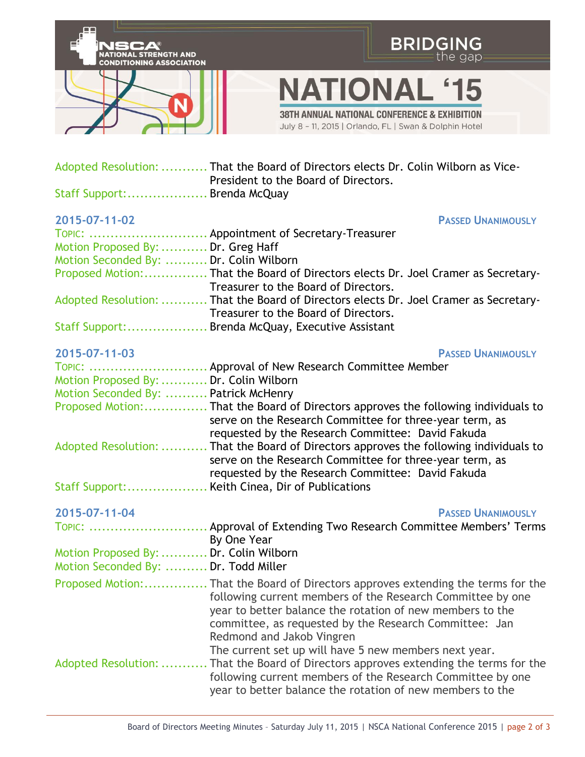

|                                        | TOPIC:  Approval of New Research Committee Member                                      |
|----------------------------------------|----------------------------------------------------------------------------------------|
| Motion Proposed By:  Dr. Colin Wilborn |                                                                                        |
| Motion Seconded By:  Patrick McHenry   |                                                                                        |
|                                        |                                                                                        |
|                                        | serve on the Research Committee for three-year term, as                                |
|                                        | requested by the Research Committee: David Fakuda                                      |
|                                        | Adopted Resolution:  That the Board of Directors approves the following individuals to |
|                                        | serve on the Research Committee for three-year term, as                                |
|                                        | requested by the Research Committee: David Fakuda                                      |
|                                        | Staff Support: Keith Cinea, Dir of Publications                                        |

**2015-07-11-04 PASSED UNANIMOUSLY** TOPIC: ................................. Approval of Extending Two Research Committee Members' Terms By One Year Motion Proposed By:........... Dr. Colin Wilborn Motion Seconded By: .......... Dr. Todd Miller Proposed Motion:............... That the Board of Directors approves extending the terms for the following current members of the Research Committee by one year to better balance the rotation of new members to the committee, as requested by the Research Committee: Jan Redmond and Jakob Vingren The current set up will have 5 new members next year. Adopted Resolution: ........... That the Board of Directors approves extending the terms for the following current members of the Research Committee by one year to better balance the rotation of new members to the